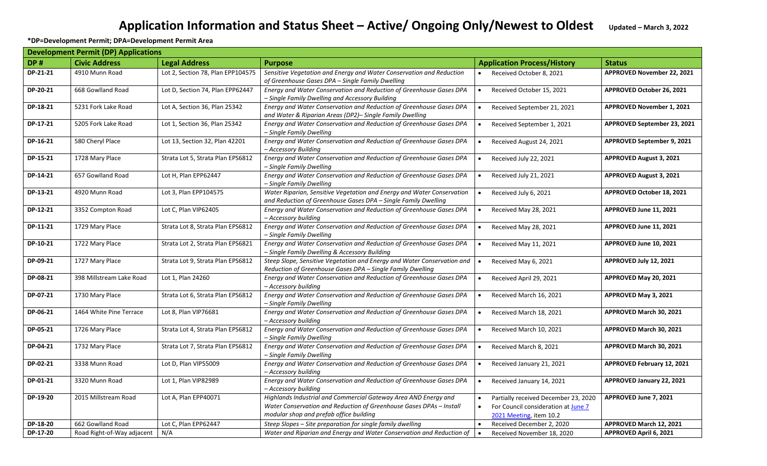## Application Information and Status Sheet - Active/ Ongoing Only/Newest to Oldest Updated - March 3, 2022

**\*DP=Development Permit; DPA=Development Permit Area**

| <b>Development Permit (DP) Applications</b> |                            |                                   |                                                                                                                                                                                   |                                                                                                                     |                                  |  |
|---------------------------------------------|----------------------------|-----------------------------------|-----------------------------------------------------------------------------------------------------------------------------------------------------------------------------------|---------------------------------------------------------------------------------------------------------------------|----------------------------------|--|
| <b>DP#</b>                                  | <b>Civic Address</b>       | <b>Legal Address</b>              | <b>Purpose</b>                                                                                                                                                                    | <b>Application Process/History</b>                                                                                  | <b>Status</b>                    |  |
| DP-21-21                                    | 4910 Munn Road             | Lot 2, Section 78, Plan EPP104575 | Sensitive Vegetation and Energy and Water Conservation and Reduction<br>of Greenhouse Gases DPA - Single Family Dwelling                                                          | Received October 8, 2021                                                                                            | APPROVED November 22, 2021       |  |
| DP-20-21                                    | 668 Gowlland Road          | Lot D, Section 74, Plan EPP62447  | Energy and Water Conservation and Reduction of Greenhouse Gases DPA<br>- Single Family Dwelling and Accessory Building                                                            | Received October 15, 2021                                                                                           | APPROVED October 26, 2021        |  |
| DP-18-21                                    | 5231 Fork Lake Road        | Lot A, Section 36, Plan 25342     | Energy and Water Conservation and Reduction of Greenhouse Gases DPA<br>and Water & Riparian Areas (DP2)- Single Family Dwelling                                                   | Received September 21, 2021<br>$\bullet$                                                                            | <b>APPROVED November 1, 2021</b> |  |
| DP-17-21                                    | 5205 Fork Lake Road        | Lot 1, Section 36, Plan 25342     | Energy and Water Conservation and Reduction of Greenhouse Gases DPA<br>– Single Family Dwelling                                                                                   | Received September 1, 2021<br>$\bullet$                                                                             | APPROVED September 23, 2021      |  |
| DP-16-21                                    | 580 Cheryl Place           | Lot 13, Section 32, Plan 42201    | Energy and Water Conservation and Reduction of Greenhouse Gases DPA<br>- Accessory Building                                                                                       | Received August 24, 2021<br>$\bullet$                                                                               | APPROVED September 9, 2021       |  |
| DP-15-21                                    | 1728 Mary Place            | Strata Lot 5, Strata Plan EPS6812 | Energy and Water Conservation and Reduction of Greenhouse Gases DPA<br>– Single Family Dwelling                                                                                   | Received July 22, 2021<br>$\bullet$                                                                                 | <b>APPROVED August 3, 2021</b>   |  |
| DP-14-21                                    | 657 Gowlland Road          | Lot H, Plan EPP62447              | Energy and Water Conservation and Reduction of Greenhouse Gases DPA<br>– Single Family Dwelling                                                                                   | Received July 21, 2021<br>$\bullet$                                                                                 | <b>APPROVED August 3, 2021</b>   |  |
| DP-13-21                                    | 4920 Munn Road             | Lot 3, Plan EPP104575             | Water Riparian, Sensitive Vegetation and Energy and Water Conservation<br>and Reduction of Greenhouse Gases DPA - Single Family Dwelling                                          | Received July 6, 2021                                                                                               | APPROVED October 18, 2021        |  |
| DP-12-21                                    | 3352 Compton Road          | Lot C, Plan VIP62405              | Energy and Water Conservation and Reduction of Greenhouse Gases DPA<br>- Accessory building                                                                                       | Received May 28, 2021<br>$\bullet$                                                                                  | APPROVED June 11, 2021           |  |
| DP-11-21                                    | 1729 Mary Place            | Strata Lot 8, Strata Plan EPS6812 | Energy and Water Conservation and Reduction of Greenhouse Gases DPA<br>– Single Family Dwelling                                                                                   | Received May 28, 2021                                                                                               | APPROVED June 11, 2021           |  |
| DP-10-21                                    | 1722 Mary Place            | Strata Lot 2, Strata Plan EPS6821 | Energy and Water Conservation and Reduction of Greenhouse Gases DPA<br>– Single Family Dwelling & Accessory Building                                                              | Received May 11, 2021<br>$\bullet$                                                                                  | APPROVED June 10, 2021           |  |
| DP-09-21                                    | 1727 Mary Place            | Strata Lot 9, Strata Plan EPS6812 | Steep Slope, Sensitive Vegetation and Energy and Water Conservation and<br>Reduction of Greenhouse Gases DPA - Single Family Dwelling                                             | Received May 6, 2021                                                                                                | APPROVED July 12, 2021           |  |
| DP-08-21                                    | 398 Millstream Lake Road   | Lot 1, Plan 24260                 | Energy and Water Conservation and Reduction of Greenhouse Gases DPA<br>- Accessory building                                                                                       | Received April 29, 2021                                                                                             | APPROVED May 20, 2021            |  |
| DP-07-21                                    | 1730 Mary Place            | Strata Lot 6, Strata Plan EPS6812 | Energy and Water Conservation and Reduction of Greenhouse Gases DPA<br>- Single Family Dwelling                                                                                   | Received March 16, 2021<br>$\bullet$                                                                                | APPROVED May 3, 2021             |  |
| DP-06-21                                    | 1464 White Pine Terrace    | Lot 8, Plan VIP76681              | Energy and Water Conservation and Reduction of Greenhouse Gases DPA<br>- Accessory building                                                                                       | Received March 18, 2021                                                                                             | APPROVED March 30, 2021          |  |
| DP-05-21                                    | 1726 Mary Place            | Strata Lot 4, Strata Plan EPS6812 | Energy and Water Conservation and Reduction of Greenhouse Gases DPA<br>- Single Family Dwelling                                                                                   | Received March 10, 2021                                                                                             | APPROVED March 30, 2021          |  |
| DP-04-21                                    | 1732 Mary Place            | Strata Lot 7, Strata Plan EPS6812 | Energy and Water Conservation and Reduction of Greenhouse Gases DPA<br>– Single Family Dwelling                                                                                   | Received March 8, 2021<br>$\bullet$                                                                                 | APPROVED March 30, 2021          |  |
| DP-02-21                                    | 3338 Munn Road             | Lot D, Plan VIP55009              | Energy and Water Conservation and Reduction of Greenhouse Gases DPA<br>- Accessory building                                                                                       | Received January 21, 2021<br>$\bullet$                                                                              | APPROVED February 12, 2021       |  |
| DP-01-21                                    | 3320 Munn Road             | Lot 1, Plan VIP82989              | Energy and Water Conservation and Reduction of Greenhouse Gases DPA<br>- Accessory building                                                                                       | Received January 14, 2021                                                                                           | APPROVED January 22, 2021        |  |
| DP-19-20                                    | 2015 Millstream Road       | Lot A, Plan EPP40071              | Highlands Industrial and Commercial Gateway Area AND Energy and<br>Water Conservation and Reduction of Greenhouse Gases DPAs - Install<br>modular shop and prefab office building | Partially received December 23, 2020<br>For Council consideration at June 7<br>$\bullet$<br>2021 Meeting, item 10.2 | APPROVED June 7, 2021            |  |
| DP-18-20                                    | 662 Gowlland Road          | Lot C, Plan EPP62447              | Steep Slopes - Site preparation for single family dwelling                                                                                                                        | Received December 2, 2020                                                                                           | APPROVED March 12, 2021          |  |
| DP-17-20                                    | Road Right-of-Way adjacent | N/A                               | Water and Riparian and Energy and Water Conservation and Reduction of                                                                                                             | Received November 18, 2020<br>$\bullet$                                                                             | APPROVED April 6, 2021           |  |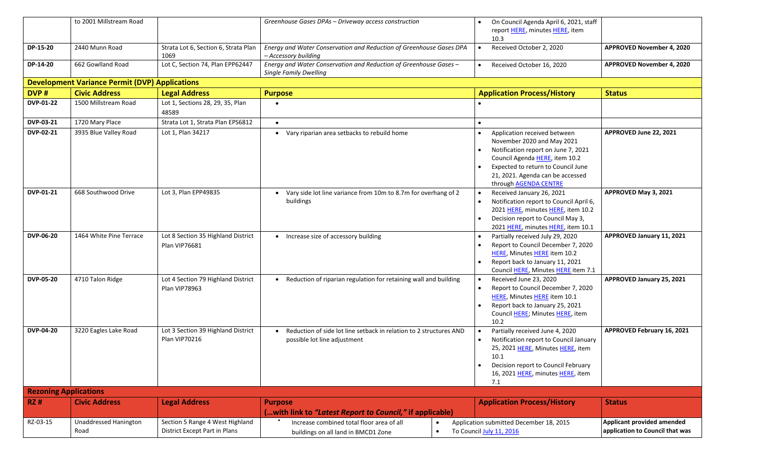|                              | to 2001 Millstream Road                               |                                                                  | Greenhouse Gases DPAs - Driveway access construction                                                       | On Council Agenda April 6, 2021, staff<br>report HERE, minutes HERE, item<br>10.3                                                                                                                                                                |                                                               |
|------------------------------|-------------------------------------------------------|------------------------------------------------------------------|------------------------------------------------------------------------------------------------------------|--------------------------------------------------------------------------------------------------------------------------------------------------------------------------------------------------------------------------------------------------|---------------------------------------------------------------|
| DP-15-20                     | 2440 Munn Road                                        | Strata Lot 6, Section 6, Strata Plan<br>1069                     | Energy and Water Conservation and Reduction of Greenhouse Gases DPA<br>- Accessory building                | Received October 2, 2020<br>$\bullet$                                                                                                                                                                                                            | APPROVED November 4, 2020                                     |
| <b>DP-14-20</b>              | 662 Gowlland Road                                     | Lot C, Section 74, Plan EPP62447                                 | Energy and Water Conservation and Reduction of Greenhouse Gases -<br><b>Single Family Dwelling</b>         | Received October 16, 2020                                                                                                                                                                                                                        | APPROVED November 4, 2020                                     |
|                              | <b>Development Variance Permit (DVP) Applications</b> |                                                                  |                                                                                                            |                                                                                                                                                                                                                                                  |                                                               |
| DVP#                         | <b>Civic Address</b>                                  | <b>Legal Address</b>                                             | <b>Purpose</b>                                                                                             | <b>Application Process/History</b>                                                                                                                                                                                                               | <b>Status</b>                                                 |
| <b>DVP-01-22</b>             | 1500 Millstream Road                                  | Lot 1, Sections 28, 29, 35, Plan<br>48589                        |                                                                                                            |                                                                                                                                                                                                                                                  |                                                               |
| DVP-03-21                    | 1720 Mary Place                                       | Strata Lot 1, Strata Plan EPS6812                                | $\bullet$                                                                                                  |                                                                                                                                                                                                                                                  |                                                               |
| DVP-02-21                    | 3935 Blue Valley Road                                 | Lot 1, Plan 34217                                                | • Vary riparian area setbacks to rebuild home                                                              | Application received between<br>November 2020 and May 2021<br>Notification report on June 7, 2021<br>Council Agenda HERE, item 10.2<br>Expected to return to Council June<br>21, 2021. Agenda can be accessed<br>through <b>AGENDA CENTRE</b>    | APPROVED June 22, 2021                                        |
| <b>DVP-01-21</b>             | 668 Southwood Drive                                   | Lot 3, Plan EPP49835                                             | • Vary side lot line variance from 10m to 8.7m for overhang of 2<br>buildings                              | Received January 26, 2021<br>$\bullet$<br>Notification report to Council April 6,<br>2021 HERE, minutes HERE, item 10.2<br>Decision report to Council May 3,<br>2021 HERE, minutes HERE, item 10.1                                               | APPROVED May 3, 2021                                          |
| <b>DVP-06-20</b>             | 1464 White Pine Terrace                               | Lot 8 Section 35 Highland District<br>Plan VIP76681              | • Increase size of accessory building                                                                      | Partially received July 29, 2020<br>Report to Council December 7, 2020<br>HERE, Minutes HERE item 10.2<br>Report back to January 11, 2021<br>Council HERE, Minutes HERE item 7.1                                                                 | APPROVED January 11, 2021                                     |
| <b>DVP-05-20</b>             | 4710 Talon Ridge                                      | Lot 4 Section 79 Highland District<br>Plan VIP78963              | • Reduction of riparian regulation for retaining wall and building                                         | Received June 23, 2020<br>Report to Council December 7, 2020<br>$\bullet$<br>HERE, Minutes HERE item 10.1<br>Report back to January 25, 2021<br>Council HERE; Minutes HERE, item<br>10.2                                                         | APPROVED January 25, 2021                                     |
| <b>DVP-04-20</b>             | 3220 Eagles Lake Road                                 | Lot 3 Section 39 Highland District<br>Plan VIP70216              | Reduction of side lot line setback in relation to 2 structures AND<br>possible lot line adjustment         | Partially received June 4, 2020<br>$\bullet$<br>Notification report to Council January<br>$\bullet$<br>25, 2021 HERE, Minutes HERE, item<br>10.1<br>Decision report to Council February<br>$\bullet$<br>16, 2021 HERE, minutes HERE, item<br>7.1 | APPROVED February 16, 2021                                    |
| <b>Rezoning Applications</b> |                                                       |                                                                  |                                                                                                            |                                                                                                                                                                                                                                                  |                                                               |
| <b>RZ#</b>                   | <b>Civic Address</b>                                  | <b>Legal Address</b>                                             | <b>Purpose</b><br>(with link to "Latest Report to Council," if applicable)                                 | <b>Application Process/History</b>                                                                                                                                                                                                               | <b>Status</b>                                                 |
| RZ-03-15                     | <b>Unaddressed Hanington</b><br>Road                  | Section 5 Range 4 West Highland<br>District Except Part in Plans | Increase combined total floor area of all<br>$\bullet$<br>$\bullet$<br>buildings on all land in BMCD1 Zone | Application submitted December 18, 2015<br>To Council July 11, 2016                                                                                                                                                                              | Applicant provided amended<br>application to Council that was |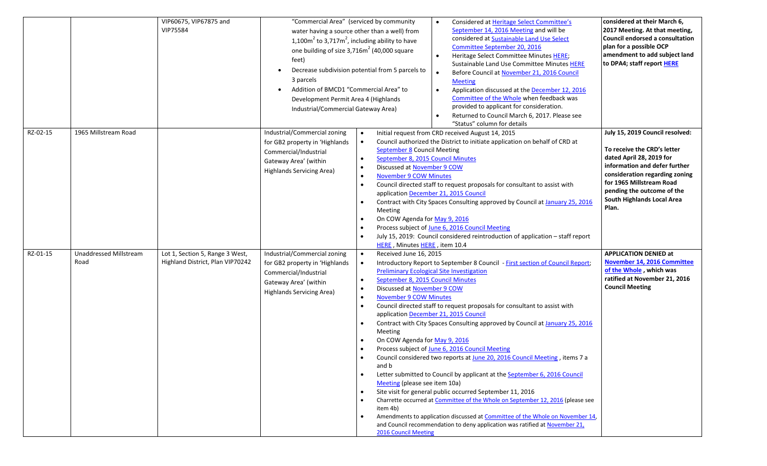|          |                                | VIP60675, VIP67875 and<br>VIP75584                                  | "Commercial Area" (serviced by community<br>one building of size 3,716m <sup>2</sup> (40,000 square<br>feet)<br>$\bullet$<br>3 parcels<br>Addition of BMCD1 "Commercial Area" to<br>$\bullet$<br>Development Permit Area 4 (Highlands<br>Industrial/Commercial Gateway Area) | water having a source other than a well) from<br>1,100 $m^2$ to 3,717 $m^2$ , including ability to have<br>Decrease subdivision potential from 5 parcels to                                                                                                                                         | Considered at Heritage Select Committee's<br>September 14, 2016 Meeting and will be<br>considered at Sustainable Land Use Select<br>Committee September 20, 2016<br>Heritage Select Committee Minutes HERE;<br>Sustainable Land Use Committee Minutes HERE<br>Before Council at November 21, 2016 Council<br><b>Meeting</b><br>Application discussed at the December 12, 2016<br>Committee of the Whole when feedback was<br>provided to applicant for consideration.<br>Returned to Council March 6, 2017. Please see<br>"Status" column for details                                                                                                                                                                                                                                                                                                                | considered at their March 6,<br>2017 Meeting. At that meeting,<br>Council endorsed a consultation<br>plan for a possible OCP<br>amendment to add subject land<br>to DPA4; staff report HERE                                                                    |
|----------|--------------------------------|---------------------------------------------------------------------|------------------------------------------------------------------------------------------------------------------------------------------------------------------------------------------------------------------------------------------------------------------------------|-----------------------------------------------------------------------------------------------------------------------------------------------------------------------------------------------------------------------------------------------------------------------------------------------------|----------------------------------------------------------------------------------------------------------------------------------------------------------------------------------------------------------------------------------------------------------------------------------------------------------------------------------------------------------------------------------------------------------------------------------------------------------------------------------------------------------------------------------------------------------------------------------------------------------------------------------------------------------------------------------------------------------------------------------------------------------------------------------------------------------------------------------------------------------------------|----------------------------------------------------------------------------------------------------------------------------------------------------------------------------------------------------------------------------------------------------------------|
| RZ-02-15 | 1965 Millstream Road           |                                                                     | Industrial/Commercial zoning<br>for GB2 property in 'Highlands<br>Commercial/Industrial<br>Gateway Area' (within<br>Highlands Servicing Area)                                                                                                                                | $\bullet$<br><b>September 8 Council Meeting</b><br>September 8, 2015 Council Minutes<br>$\bullet$<br>Discussed at November 9 COW<br><b>November 9 COW Minutes</b><br>$\bullet$<br>Meeting<br>On COW Agenda for May 9, 2016<br>HERE, Minutes HERE, item 10.4                                         | Initial request from CRD received August 14, 2015<br>Council authorized the District to initiate application on behalf of CRD at<br>Council directed staff to request proposals for consultant to assist with<br>application December 21, 2015 Council<br>Contract with City Spaces Consulting approved by Council at January 25, 2016<br>Process subject of June 6, 2016 Council Meeting<br>July 15, 2019: Council considered reintroduction of application - staff report                                                                                                                                                                                                                                                                                                                                                                                          | July 15, 2019 Council resolved:<br>To receive the CRD's letter<br>dated April 28, 2019 for<br>information and defer further<br>consideration regarding zoning<br>for 1965 Millstream Road<br>pending the outcome of the<br>South Highlands Local Area<br>Plan. |
| RZ-01-15 | Unaddressed Millstream<br>Road | Lot 1, Section 5, Range 3 West,<br>Highland District, Plan VIP70242 | Industrial/Commercial zoning<br>for GB2 property in 'Highlands<br>Commercial/Industrial<br>Gateway Area' (within<br><b>Highlands Servicing Area)</b>                                                                                                                         | Received June 16, 2015<br>$\bullet$<br>September 8, 2015 Council Minutes<br>Discussed at November 9 COW<br><b>November 9 COW Minutes</b><br>Meeting<br>On COW Agenda for May 9, 2016<br>and b<br>$\bullet$<br>Meeting (please see item 10a)<br>$\bullet$<br>item 4b)<br><b>2016 Council Meeting</b> | Introductory Report to September 8 Council - First section of Council Report;<br><b>Preliminary Ecological Site Investigation</b><br>Council directed staff to request proposals for consultant to assist with<br>application December 21, 2015 Council<br>Contract with City Spaces Consulting approved by Council at January 25, 2016<br>Process subject of June 6, 2016 Council Meeting<br>Council considered two reports at June 20, 2016 Council Meeting, items 7 a<br>Letter submitted to Council by applicant at the September 6, 2016 Council<br>Site visit for general public occurred September 11, 2016<br>Charrette occurred at Committee of the Whole on September 12, 2016 (please see<br>Amendments to application discussed at Committee of the Whole on November 14,<br>and Council recommendation to deny application was ratified at November 21, | <b>APPLICATION DENIED at</b><br>November 14, 2016 Committee<br>of the Whole, which was<br>ratified at November 21, 2016<br><b>Council Meeting</b>                                                                                                              |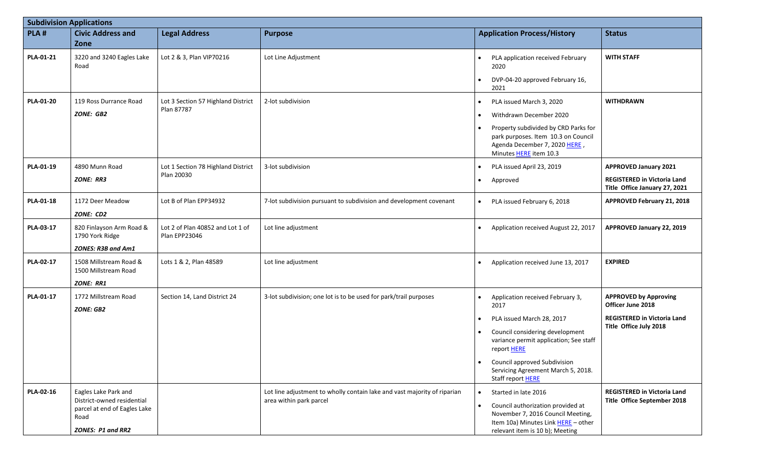|                  | <b>Subdivision Applications</b>                                                                                 |                                                   |                                                                                                     |                                                                                                                                                                                                                                      |                                                                                                     |  |  |
|------------------|-----------------------------------------------------------------------------------------------------------------|---------------------------------------------------|-----------------------------------------------------------------------------------------------------|--------------------------------------------------------------------------------------------------------------------------------------------------------------------------------------------------------------------------------------|-----------------------------------------------------------------------------------------------------|--|--|
| PLA#             | <b>Civic Address and</b>                                                                                        | <b>Legal Address</b>                              | <b>Purpose</b>                                                                                      | <b>Application Process/History</b>                                                                                                                                                                                                   | <b>Status</b>                                                                                       |  |  |
|                  | Zone                                                                                                            |                                                   |                                                                                                     |                                                                                                                                                                                                                                      |                                                                                                     |  |  |
| PLA-01-21        | 3220 and 3240 Eagles Lake<br>Road                                                                               | Lot 2 & 3, Plan VIP70216                          | Lot Line Adjustment                                                                                 | PLA application received February<br>$\bullet$<br>2020<br>DVP-04-20 approved February 16,<br>2021                                                                                                                                    | <b>WITH STAFF</b>                                                                                   |  |  |
| <b>PLA-01-20</b> | 119 Ross Durrance Road<br><b>ZONE: GB2</b>                                                                      | Lot 3 Section 57 Highland District<br>Plan 87787  | 2-lot subdivision                                                                                   | PLA issued March 3, 2020<br>$\bullet$<br>Withdrawn December 2020<br>$\bullet$<br>Property subdivided by CRD Parks for<br>$\bullet$<br>park purposes. Item 10.3 on Council<br>Agenda December 7, 2020 HERE,<br>Minutes HERE item 10.3 | <b>WITHDRAWN</b>                                                                                    |  |  |
| PLA-01-19        | 4890 Munn Road<br><b>ZONE: RR3</b>                                                                              | Lot 1 Section 78 Highland District<br>Plan 20030  | 3-lot subdivision                                                                                   | PLA issued April 23, 2019<br>Approved<br>$\bullet$                                                                                                                                                                                   | <b>APPROVED January 2021</b><br><b>REGISTERED in Victoria Land</b><br>Title Office January 27, 2021 |  |  |
| PLA-01-18        | 1172 Deer Meadow<br>ZONE: CD2                                                                                   | Lot B of Plan EPP34932                            | 7-lot subdivision pursuant to subdivision and development covenant                                  | PLA issued February 6, 2018<br>$\bullet$                                                                                                                                                                                             | APPROVED February 21, 2018                                                                          |  |  |
| PLA-03-17        | 820 Finlayson Arm Road &<br>1790 York Ridge                                                                     | Lot 2 of Plan 40852 and Lot 1 of<br>Plan EPP23046 | Lot line adjustment                                                                                 | Application received August 22, 2017                                                                                                                                                                                                 | APPROVED January 22, 2019                                                                           |  |  |
|                  | ZONES: R3B and Am1                                                                                              |                                                   |                                                                                                     |                                                                                                                                                                                                                                      |                                                                                                     |  |  |
| PLA-02-17        | 1508 Millstream Road &<br>1500 Millstream Road<br><b>ZONE: RR1</b>                                              | Lots 1 & 2, Plan 48589                            | Lot line adjustment                                                                                 | Application received June 13, 2017                                                                                                                                                                                                   | <b>EXPIRED</b>                                                                                      |  |  |
| PLA-01-17        | 1772 Millstream Road<br><b>ZONE: GB2</b>                                                                        | Section 14, Land District 24                      | 3-lot subdivision; one lot is to be used for park/trail purposes                                    | Application received February 3,<br>2017                                                                                                                                                                                             | <b>APPROVED by Approving</b><br>Officer June 2018                                                   |  |  |
|                  |                                                                                                                 |                                                   |                                                                                                     | PLA issued March 28, 2017                                                                                                                                                                                                            | <b>REGISTERED in Victoria Land</b>                                                                  |  |  |
|                  |                                                                                                                 |                                                   |                                                                                                     | Council considering development<br>$\bullet$<br>variance permit application; See staff<br>report HERE                                                                                                                                | Title Office July 2018                                                                              |  |  |
|                  |                                                                                                                 |                                                   |                                                                                                     | Council approved Subdivision<br>$\bullet$<br>Servicing Agreement March 5, 2018.<br>Staff report HERE                                                                                                                                 |                                                                                                     |  |  |
| PLA-02-16        | Eagles Lake Park and<br>District-owned residential<br>parcel at end of Eagles Lake<br>Road<br>ZONES: P1 and RR2 |                                                   | Lot line adjustment to wholly contain lake and vast majority of riparian<br>area within park parcel | Started in late 2016<br>$\bullet$<br>Council authorization provided at<br>$\bullet$<br>November 7, 2016 Council Meeting,<br>Item 10a) Minutes Link HERE - other<br>relevant item is 10 b); Meeting                                   | <b>REGISTERED in Victoria Land</b><br>Title Office September 2018                                   |  |  |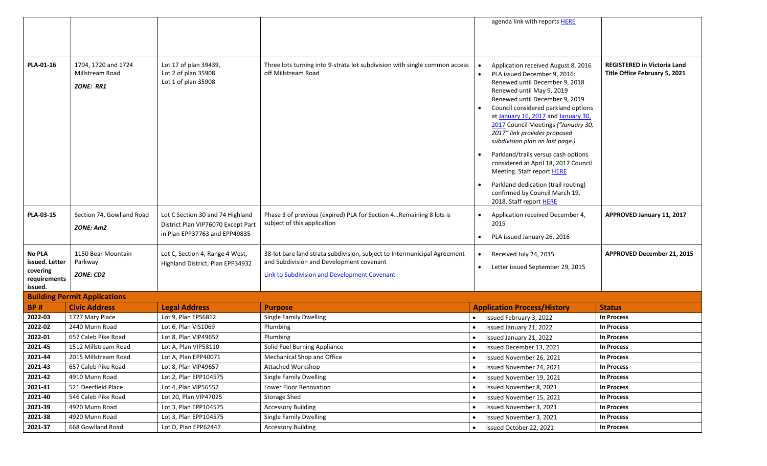|                         |                                                            |                                                                     |                                                                                                   | agenda link with reports HERE                                                                                                                                                                                                                                                                                                                                                                                                                                                                                    |                                                                     |
|-------------------------|------------------------------------------------------------|---------------------------------------------------------------------|---------------------------------------------------------------------------------------------------|------------------------------------------------------------------------------------------------------------------------------------------------------------------------------------------------------------------------------------------------------------------------------------------------------------------------------------------------------------------------------------------------------------------------------------------------------------------------------------------------------------------|---------------------------------------------------------------------|
|                         |                                                            |                                                                     |                                                                                                   |                                                                                                                                                                                                                                                                                                                                                                                                                                                                                                                  |                                                                     |
|                         |                                                            |                                                                     |                                                                                                   |                                                                                                                                                                                                                                                                                                                                                                                                                                                                                                                  |                                                                     |
|                         |                                                            |                                                                     |                                                                                                   |                                                                                                                                                                                                                                                                                                                                                                                                                                                                                                                  |                                                                     |
| PLA-01-16               | 1704. 1720 and 1724<br>Millstream Road<br><b>ZONE: RR1</b> | Lot 17 of plan 39439,<br>Lot 2 of plan 35908<br>Lot 1 of plan 35908 | Three lots turning into 9-strata lot subdivision with single common access<br>off Millstream Road | Application received August 8, 2016<br>PLA issued December 9, 2016:<br>Renewed until December 9, 2018<br>Renewed until May 9, 2019<br>Renewed until December 9, 2019<br>Council considered parkland options<br>at January 16, 2017 and January 30,<br>2017 Council Meetings ("January 30,<br>2017" link provides proposed<br>subdivision plan on last page.)<br>Parkland/trails versus cash options<br>considered at April 18, 2017 Council<br>Meeting. Staff report HERE<br>Parkland dedication (trail routing) | <b>REGISTERED in Victoria Land</b><br>Title Office February 5, 2021 |
|                         |                                                            |                                                                     |                                                                                                   | confirmed by Council March 19,<br>2018. Staff report HERE                                                                                                                                                                                                                                                                                                                                                                                                                                                        |                                                                     |
| PLA-03-15               | Section 74, Gowlland Road                                  | Lot C Section 30 and 74 Highland                                    | Phase 3 of previous (expired) PLA for Section 4 Remaining 8 lots is                               | Application received December 4,<br>$\bullet$                                                                                                                                                                                                                                                                                                                                                                                                                                                                    | APPROVED January 11, 2017                                           |
|                         | ZONE: Am2                                                  | District Plan VIP76070 Except Part                                  | subject of this application                                                                       | 2015                                                                                                                                                                                                                                                                                                                                                                                                                                                                                                             |                                                                     |
|                         |                                                            | in Plan EPP37763 and EPP49835                                       |                                                                                                   | PLA issued January 26, 2016                                                                                                                                                                                                                                                                                                                                                                                                                                                                                      |                                                                     |
|                         |                                                            |                                                                     |                                                                                                   |                                                                                                                                                                                                                                                                                                                                                                                                                                                                                                                  |                                                                     |
| <b>No PLA</b>           | 1150 Bear Mountain                                         | Lot C, Section 4, Range 4 West,                                     | 38-lot bare land strata subdivision, subject to Intermunicipal Agreement                          | Received July 24, 2015<br>$\bullet$                                                                                                                                                                                                                                                                                                                                                                                                                                                                              | APPROVED December 21, 2015                                          |
|                         |                                                            |                                                                     |                                                                                                   |                                                                                                                                                                                                                                                                                                                                                                                                                                                                                                                  |                                                                     |
| issued. Letter          | Parkway                                                    | Highland District, Plan EPP34932                                    | and Subdivision and Development covenant                                                          | Letter issued September 29, 2015<br>$\bullet$                                                                                                                                                                                                                                                                                                                                                                                                                                                                    |                                                                     |
| covering                | ZONE: CD2                                                  |                                                                     | <b>Link to Subdivision and Development Covenant</b>                                               |                                                                                                                                                                                                                                                                                                                                                                                                                                                                                                                  |                                                                     |
| requirements<br>issued. |                                                            |                                                                     |                                                                                                   |                                                                                                                                                                                                                                                                                                                                                                                                                                                                                                                  |                                                                     |
|                         | <b>Building Permit Applications</b>                        |                                                                     |                                                                                                   |                                                                                                                                                                                                                                                                                                                                                                                                                                                                                                                  |                                                                     |
| <b>BP#</b>              | <b>Civic Address</b>                                       |                                                                     |                                                                                                   |                                                                                                                                                                                                                                                                                                                                                                                                                                                                                                                  | <b>Status</b>                                                       |
| 2022-03                 | 1727 Mary Place                                            | <b>Legal Address</b><br>Lot 9, Plan EPS6812                         | <b>Purpose</b><br>Single Family Dwelling                                                          | <b>Application Process/History</b><br>Issued February 3, 2022                                                                                                                                                                                                                                                                                                                                                                                                                                                    | <b>In Process</b>                                                   |
| 2022-02                 | 2440 Munn Road                                             | Lot 6, Plan VIS1069                                                 | Plumbing                                                                                          | Issued January 21, 2022                                                                                                                                                                                                                                                                                                                                                                                                                                                                                          | In Process                                                          |
| 2022-01                 | 657 Caleb Pike Road                                        | Lot 8, Plan VIP49657                                                | Plumbing                                                                                          |                                                                                                                                                                                                                                                                                                                                                                                                                                                                                                                  | In Process                                                          |
|                         | 1512 Millstream Road                                       | Lot A, Plan VIP58110                                                |                                                                                                   | Issued January 21, 2022                                                                                                                                                                                                                                                                                                                                                                                                                                                                                          | <b>In Process</b>                                                   |
| 2021-45<br>2021-44      | 2015 Millstream Road                                       | Lot A. Plan EPP40071                                                | Solid Fuel Burning Appliance<br>Mechanical Shop and Office                                        | Issued December 13, 2021                                                                                                                                                                                                                                                                                                                                                                                                                                                                                         | <b>In Process</b>                                                   |
| 2021-43                 | 657 Caleb Pike Road                                        | Lot 8, Plan VIP49657                                                |                                                                                                   | Issued November 26, 2021<br>Issued November 24, 2021                                                                                                                                                                                                                                                                                                                                                                                                                                                             | In Process                                                          |
| 2021-42                 | 4910 Munn Road                                             | Lot 2, Plan EPP104575                                               | Attached Workshop<br>Single Family Dwelling                                                       | Issued November 19, 2021                                                                                                                                                                                                                                                                                                                                                                                                                                                                                         | <b>In Process</b>                                                   |
| 2021-41                 | 521 Deerfield Place                                        | Lot 4, Plan VIP56557                                                | Lower Floor Renovation                                                                            | Issued November 8, 2021                                                                                                                                                                                                                                                                                                                                                                                                                                                                                          | <b>In Process</b>                                                   |
| 2021-40                 | 546 Caleb Pike Road                                        | Lot 20, Plan VIP47025                                               | <b>Storage Shed</b>                                                                               | Issued November 15, 2021                                                                                                                                                                                                                                                                                                                                                                                                                                                                                         | <b>In Process</b>                                                   |
| 2021-39                 | 4920 Munn Road                                             | Lot 3, Plan EPP104575                                               | <b>Accessory Building</b>                                                                         | Issued November 3, 2021                                                                                                                                                                                                                                                                                                                                                                                                                                                                                          | In Process                                                          |
| 2021-38                 | 4920 Munn Road                                             | Lot 3, Plan EPP104575                                               | Single Family Dwelling                                                                            | Issued November 3, 2021                                                                                                                                                                                                                                                                                                                                                                                                                                                                                          | <b>In Process</b>                                                   |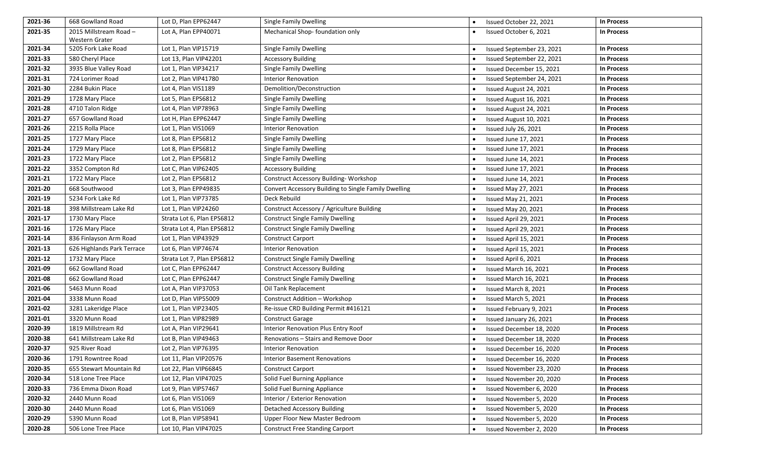| 2021-36 | 668 Gowlland Road          | Lot D, Plan EPP62447       | Single Family Dwelling                               | Issued October 22, 2021    | <b>In Process</b> |
|---------|----------------------------|----------------------------|------------------------------------------------------|----------------------------|-------------------|
| 2021-35 | 2015 Millstream Road-      | Lot A, Plan EPP40071       | Mechanical Shop-foundation only                      | Issued October 6, 2021     | <b>In Process</b> |
|         | Western Grater             |                            |                                                      |                            |                   |
| 2021-34 | 5205 Fork Lake Road        | Lot 1, Plan VIP15719       | Single Family Dwelling                               | Issued September 23, 2021  | <b>In Process</b> |
| 2021-33 | 580 Cheryl Place           | Lot 13, Plan VIP42201      | <b>Accessory Building</b>                            | Issued September 22, 2021  | <b>In Process</b> |
| 2021-32 | 3935 Blue Valley Road      | Lot 1, Plan VIP34217       | <b>Single Family Dwelling</b>                        | Issued December 15, 2021   | <b>In Process</b> |
| 2021-31 | 724 Lorimer Road           | Lot 2, Plan VIP41780       | <b>Interior Renovation</b>                           | Issued September 24, 2021  | <b>In Process</b> |
| 2021-30 | 2284 Bukin Place           | Lot 4, Plan VIS1189        | Demolition/Deconstruction                            | Issued August 24, 2021     | <b>In Process</b> |
| 2021-29 | 1728 Mary Place            | Lot 5, Plan EPS6812        | <b>Single Family Dwelling</b>                        | Issued August 16, 2021     | <b>In Process</b> |
| 2021-28 | 4710 Talon Ridge           | Lot 4, Plan VIP78963       | <b>Single Family Dwelling</b>                        | Issued August 24, 2021     | <b>In Process</b> |
| 2021-27 | 657 Gowlland Road          | Lot H, Plan EPP62447       | <b>Single Family Dwelling</b>                        | Issued August 10, 2021     | <b>In Process</b> |
| 2021-26 | 2215 Rolla Place           | Lot 1, Plan VIS1069        | <b>Interior Renovation</b>                           | Issued July 26, 2021       | <b>In Process</b> |
| 2021-25 | 1727 Mary Place            | Lot 8, Plan EPS6812        | <b>Single Family Dwelling</b>                        | Issued June 17, 2021       | <b>In Process</b> |
| 2021-24 | 1729 Mary Place            | Lot 8, Plan EPS6812        | <b>Single Family Dwelling</b>                        | Issued June 17, 2021       | <b>In Process</b> |
| 2021-23 | 1722 Mary Place            | Lot 2, Plan EPS6812        | <b>Single Family Dwelling</b>                        | Issued June 14, 2021       | <b>In Process</b> |
| 2021-22 | 3352 Compton Rd            | Lot C, Plan VIP62405       | <b>Accessory Building</b>                            | Issued June 17, 2021       | <b>In Process</b> |
| 2021-21 | 1722 Mary Place            | Lot 2, Plan EPS6812        | Construct Accessory Building-Workshop                | Issued June 14, 2021       | <b>In Process</b> |
| 2021-20 | 668 Southwood              | Lot 3, Plan EPP49835       | Convert Accessory Building to Single Family Dwelling | Issued May 27, 2021        | <b>In Process</b> |
| 2021-19 | 5234 Fork Lake Rd          | Lot 1, Plan VIP73785       | Deck Rebuild                                         | Issued May 21, 2021        | <b>In Process</b> |
| 2021-18 | 398 Millstream Lake Rd     | Lot 1, Plan VIP24260       | Construct Accessory / Agriculture Building           | <b>Issued May 20, 2021</b> | <b>In Process</b> |
| 2021-17 | 1730 Mary Place            | Strata Lot 6, Plan EPS6812 | <b>Construct Single Family Dwelling</b>              | Issued April 29, 2021      | <b>In Process</b> |
| 2021-16 | 1726 Mary Place            | Strata Lot 4, Plan EPS6812 | <b>Construct Single Family Dwelling</b>              | Issued April 29, 2021      | <b>In Process</b> |
| 2021-14 | 836 Finlayson Arm Road     | Lot 1, Plan VIP43929       | <b>Construct Carport</b>                             | Issued April 15, 2021      | <b>In Process</b> |
| 2021-13 | 626 Highlands Park Terrace | Lot 6, Plan VIP74674       | <b>Interior Renovation</b>                           | Issued April 15, 2021      | <b>In Process</b> |
| 2021-12 | 1732 Mary Place            | Strata Lot 7, Plan EPS6812 | <b>Construct Single Family Dwelling</b>              | Issued April 6, 2021       | <b>In Process</b> |
| 2021-09 | 662 Gowlland Road          | Lot C, Plan EPP62447       | <b>Construct Accessory Building</b>                  | Issued March 16, 2021      | <b>In Process</b> |
| 2021-08 | 662 Gowlland Road          | Lot C, Plan EPP62447       | <b>Construct Single Family Dwelling</b>              | Issued March 16, 2021      | <b>In Process</b> |
| 2021-06 | 5463 Munn Road             | Lot A, Plan VIP37053       | Oil Tank Replacement                                 | Issued March 8, 2021       | <b>In Process</b> |
| 2021-04 | 3338 Munn Road             | Lot D, Plan VIP55009       | Construct Addition - Workshop                        | Issued March 5, 2021       | <b>In Process</b> |
| 2021-02 | 3281 Lakeridge Place       | Lot 1, Plan VIP23405       | Re-issue CRD Building Permit #416121                 | Issued February 9, 2021    | <b>In Process</b> |
| 2021-01 | 3320 Munn Road             | Lot 1, Plan VIP82989       | <b>Construct Garage</b>                              | Issued January 26, 2021    | <b>In Process</b> |
| 2020-39 | 1819 Millstream Rd         | Lot A, Plan VIP29641       | Interior Renovation Plus Entry Roof                  | Issued December 18, 2020   | <b>In Process</b> |
| 2020-38 | 641 Millstream Lake Rd     | Lot B, Plan VIP49463       | Renovations - Stairs and Remove Door                 | Issued December 18, 2020   | <b>In Process</b> |
| 2020-37 | 925 River Road             | Lot 2, Plan VIP76395       | <b>Interior Renovation</b>                           | Issued December 16, 2020   | <b>In Process</b> |
| 2020-36 | 1791 Rowntree Road         | Lot 11, Plan VIP20576      | <b>Interior Basement Renovations</b>                 | Issued December 16, 2020   | <b>In Process</b> |
| 2020-35 | 655 Stewart Mountain Rd    | Lot 22, Plan VIP66845      | <b>Construct Carport</b>                             | Issued November 23, 2020   | <b>In Process</b> |
| 2020-34 | 518 Lone Tree Place        | Lot 12, Plan VIP47025      | Solid Fuel Burning Appliance                         | Issued November 20, 2020   | <b>In Process</b> |
| 2020-33 | 736 Emma Dixon Road        | Lot 9, Plan VIP57467       | Solid Fuel Burning Appliance                         | Issued November 6, 2020    | <b>In Process</b> |
| 2020-32 | 2440 Munn Road             | Lot 6, Plan VIS1069        | Interior / Exterior Renovation                       | Issued November 5, 2020    | <b>In Process</b> |
| 2020-30 | 2440 Munn Road             | Lot 6, Plan VIS1069        | <b>Detached Accessory Building</b>                   | Issued November 5, 2020    | <b>In Process</b> |
| 2020-29 | 5390 Munn Road             | Lot B, Plan VIP58941       | Upper Floor New Master Bedroom                       | Issued November 5, 2020    | <b>In Process</b> |
| 2020-28 | 506 Lone Tree Place        | Lot 10, Plan VIP47025      | <b>Construct Free Standing Carport</b>               | Issued November 2, 2020    | <b>In Process</b> |
|         |                            |                            |                                                      |                            |                   |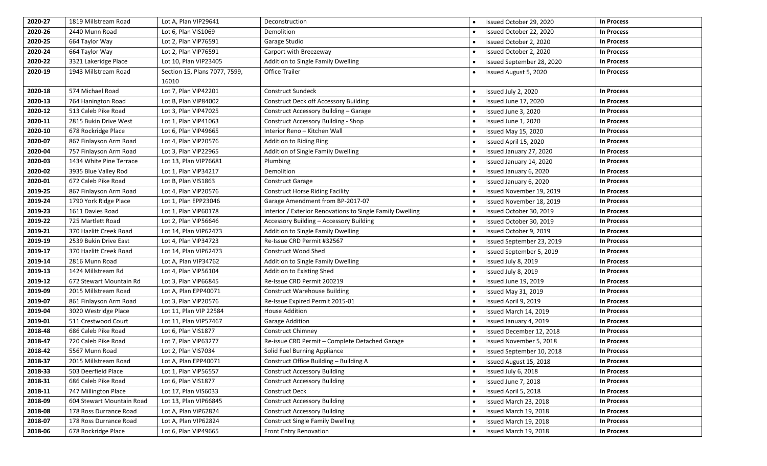| 2020-27 | 1819 Millstream Road      | Lot A, Plan VIP29641                   | Deconstruction                                            | Issued October 29, 2020   | In Process        |
|---------|---------------------------|----------------------------------------|-----------------------------------------------------------|---------------------------|-------------------|
| 2020-26 | 2440 Munn Road            | Lot 6, Plan VIS1069                    | Demolition                                                | Issued October 22, 2020   | <b>In Process</b> |
| 2020-25 | 664 Taylor Way            | Lot 2, Plan VIP76591                   | Garage Studio                                             | Issued October 2, 2020    | In Process        |
| 2020-24 | 664 Taylor Way            | Lot 2, Plan VIP76591                   | Carport with Breezeway                                    | Issued October 2, 2020    | <b>In Process</b> |
| 2020-22 | 3321 Lakeridge Place      | Lot 10, Plan VIP23405                  | Addition to Single Family Dwelling                        | Issued September 28, 2020 | <b>In Process</b> |
| 2020-19 | 1943 Millstream Road      | Section 15, Plans 7077, 7599,<br>16010 | <b>Office Trailer</b>                                     | Issued August 5, 2020     | <b>In Process</b> |
| 2020-18 | 574 Michael Road          | Lot 7, Plan VIP42201                   | <b>Construct Sundeck</b>                                  | Issued July 2, 2020       | <b>In Process</b> |
| 2020-13 | 764 Hanington Road        | Lot B, Plan VIP84002                   | <b>Construct Deck off Accessory Building</b>              | Issued June 17, 2020      | <b>In Process</b> |
| 2020-12 | 513 Caleb Pike Road       | Lot 3, Plan VIP47025                   | Construct Accessory Building - Garage                     | Issued June 3, 2020       | <b>In Process</b> |
| 2020-11 | 2815 Bukin Drive West     | Lot 1, Plan VIP41063                   | <b>Construct Accessory Building - Shop</b>                | Issued June 1, 2020       | <b>In Process</b> |
| 2020-10 | 678 Rockridge Place       | Lot 6, Plan VIP49665                   | Interior Reno - Kitchen Wall                              | Issued May 15, 2020       | <b>In Process</b> |
| 2020-07 | 867 Finlayson Arm Road    | Lot 4, Plan VIP20576                   | Addition to Riding Ring                                   | Issued April 15, 2020     | <b>In Process</b> |
| 2020-04 | 757 Finlayson Arm Road    | Lot 3, Plan VIP22965                   | Addition of Single Family Dwelling                        | Issued January 27, 2020   | In Process        |
| 2020-03 | 1434 White Pine Terrace   | Lot 13, Plan VIP76681                  | Plumbing                                                  | Issued January 14, 2020   | <b>In Process</b> |
| 2020-02 | 3935 Blue Valley Rod      | Lot 1, Plan VIP34217                   | Demolition                                                | Issued January 6, 2020    | <b>In Process</b> |
| 2020-01 | 672 Caleb Pike Road       | Lot B, Plan VIS1863                    | <b>Construct Garage</b>                                   | Issued January 6, 2020    | <b>In Process</b> |
| 2019-25 | 867 Finlayson Arm Road    | Lot 4, Plan VIP20576                   | <b>Construct Horse Riding Facility</b>                    | Issued November 19, 2019  | <b>In Process</b> |
| 2019-24 | 1790 York Ridge Place     | Lot 1, Plan EPP23046                   | Garage Amendment from BP-2017-07                          | Issued November 18, 2019  | <b>In Process</b> |
| 2019-23 | 1611 Davies Road          | Lot 1, Plan VIP60178                   | Interior / Exterior Renovations to Single Family Dwelling | Issued October 30, 2019   | <b>In Process</b> |
| 2019-22 | 725 Martlett Road         | Lot 2, Plan VIP56646                   | Accessory Building - Accessory Building                   | Issued October 30, 2019   | <b>In Process</b> |
| 2019-21 | 370 Hazlitt Creek Road    | Lot 14, Plan VIP62473                  | Addition to Single Family Dwelling                        | Issued October 9, 2019    | In Process        |
| 2019-19 | 2539 Bukin Drive East     | Lot 4, Plan VIP34723                   | Re-Issue CRD Permit #32567                                | Issued September 23, 2019 | <b>In Process</b> |
| 2019-17 | 370 Hazlitt Creek Road    | Lot 14, Plan VIP62473                  | Construct Wood Shed                                       | Issued September 5, 2019  | <b>In Process</b> |
| 2019-14 | 2816 Munn Road            | Lot A, Plan VIP34762                   | Addition to Single Family Dwelling                        | Issued July 8, 2019       | <b>In Process</b> |
| 2019-13 | 1424 Millstream Rd        | Lot 4, Plan VIP56104                   | Addition to Existing Shed                                 | Issued July 8, 2019       | <b>In Process</b> |
| 2019-12 | 672 Stewart Mountain Rd   | Lot 3, Plan VIP66845                   | Re-Issue CRD Permit 200219                                | Issued June 19, 2019      | <b>In Process</b> |
| 2019-09 | 2015 Millstream Road      | Lot A, Plan EPP40071                   | <b>Construct Warehouse Building</b>                       | Issued May 31, 2019       | <b>In Process</b> |
| 2019-07 | 861 Finlayson Arm Road    | Lot 3, Plan VIP20576                   | Re-Issue Expired Permit 2015-01                           | Issued April 9, 2019      | <b>In Process</b> |
| 2019-04 | 3020 Westridge Place      | Lot 11, Plan VIP 22584                 | <b>House Addition</b>                                     | Issued March 14, 2019     | <b>In Process</b> |
| 2019-01 | 511 Crestwood Court       | Lot 11, Plan VIP57467                  | Garage Addition                                           | Issued January 4, 2019    | <b>In Process</b> |
| 2018-48 | 686 Caleb Pike Road       | Lot 6, Plan VIS1877                    | Construct Chimney                                         | Issued December 12, 2018  | <b>In Process</b> |
| 2018-47 | 720 Caleb Pike Road       | Lot 7, Plan VIP63277                   | Re-issue CRD Permit - Complete Detached Garage            | Issued November 5, 2018   | <b>In Process</b> |
| 2018-42 | 5567 Munn Road            | Lot 2, Plan VIS7034                    | Solid Fuel Burning Appliance                              | Issued September 10, 2018 | <b>In Process</b> |
| 2018-37 | 2015 Millstream Road      | Lot A, Plan EPP40071                   | Construct Office Building - Building A                    | Issued August 15, 2018    | <b>In Process</b> |
| 2018-33 | 503 Deerfield Place       | Lot 1, Plan VIP56557                   | <b>Construct Accessory Building</b>                       | Issued July 6, 2018       | <b>In Process</b> |
| 2018-31 | 686 Caleb Pike Road       | Lot 6, Plan VIS1877                    | <b>Construct Accessory Building</b>                       | Issued June 7, 2018       | <b>In Process</b> |
| 2018-11 | 747 Millington Place      | Lot 17, Plan VIS6033                   | Construct Deck                                            | Issued April 5, 2018      | <b>In Process</b> |
| 2018-09 | 604 Stewart Mountain Road | Lot 13, Plan VIP66845                  | <b>Construct Accessory Building</b>                       | Issued March 23, 2018     | In Process        |
| 2018-08 | 178 Ross Durrance Road    | Lot A, Plan ViP62824                   | <b>Construct Accessory Building</b>                       | Issued March 19, 2018     | <b>In Process</b> |
| 2018-07 | 178 Ross Durrance Road    | Lot A, Plan VIP62824                   | <b>Construct Single Family Dwelling</b>                   | Issued March 19, 2018     | In Process        |
| 2018-06 | 678 Rockridge Place       | Lot 6, Plan VIP49665                   | Front Entry Renovation                                    | Issued March 19, 2018     | <b>In Process</b> |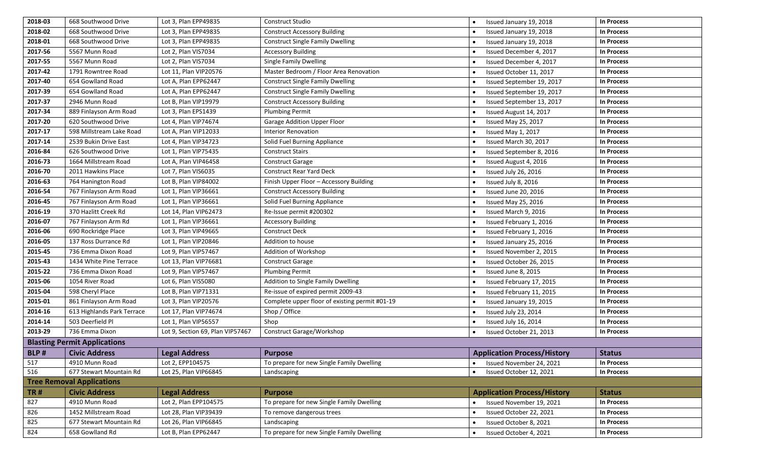| 2018-03 | 668 Southwood Drive                 | Lot 3, Plan EPP49835             | Construct Studio                               | Issued January 19, 2018            | <b>In Process</b> |
|---------|-------------------------------------|----------------------------------|------------------------------------------------|------------------------------------|-------------------|
| 2018-02 | 668 Southwood Drive                 | Lot 3, Plan EPP49835             | <b>Construct Accessory Building</b>            | Issued January 19, 2018            | <b>In Process</b> |
| 2018-01 | 668 Southwood Drive                 | Lot 3, Plan EPP49835             | <b>Construct Single Family Dwelling</b>        | Issued January 19, 2018            | In Process        |
| 2017-56 | 5567 Munn Road                      | Lot 2, Plan VIS7034              | <b>Accessory Building</b>                      | Issued December 4, 2017            | <b>In Process</b> |
| 2017-55 | 5567 Munn Road                      | Lot 2, Plan VIS7034              | Single Family Dwelling                         | Issued December 4, 2017            | <b>In Process</b> |
| 2017-42 | 1791 Rowntree Road                  | Lot 11, Plan VIP20576            | Master Bedroom / Floor Area Renovation         | Issued October 11, 2017            | <b>In Process</b> |
| 2017-40 | 654 Gowlland Road                   | Lot A, Plan EPP62447             | <b>Construct Single Family Dwelling</b>        | Issued September 19, 2017          | <b>In Process</b> |
| 2017-39 | 654 Gowlland Road                   | Lot A, Plan EPP62447             | <b>Construct Single Family Dwelling</b>        | Issued September 19, 2017          | <b>In Process</b> |
| 2017-37 | 2946 Munn Road                      | Lot B, Plan VIP19979             | <b>Construct Accessory Building</b>            | Issued September 13, 2017          | <b>In Process</b> |
| 2017-34 | 889 Finlayson Arm Road              | Lot 3. Plan EPS1439              | <b>Plumbing Permit</b>                         | Issued August 14, 2017             | <b>In Process</b> |
| 2017-20 | 620 Southwood Drive                 | Lot 4, Plan VIP74674             | Garage Addition Upper Floor                    | Issued May 25, 2017                | <b>In Process</b> |
| 2017-17 | 598 Millstream Lake Road            | Lot A, Plan VIP12033             | <b>Interior Renovation</b>                     | Issued May 1, 2017                 | In Process        |
| 2017-14 | 2539 Bukin Drive East               | Lot 4, Plan VIP34723             | Solid Fuel Burning Appliance                   | Issued March 30, 2017              | In Process        |
| 2016-84 | 626 Southwood Drive                 | Lot 1, Plan VIP75435             | <b>Construct Stairs</b>                        | Issued September 8, 2016           | <b>In Process</b> |
| 2016-73 | 1664 Millstream Road                | Lot A, Plan VIP46458             | <b>Construct Garage</b>                        | Issued August 4, 2016              | <b>In Process</b> |
| 2016-70 | 2011 Hawkins Place                  | Lot 7, Plan VIS6035              | Construct Rear Yard Deck                       | Issued July 26, 2016               | <b>In Process</b> |
| 2016-63 | 764 Hanington Road                  | Lot B, Plan VIP84002             | Finish Upper Floor - Accessory Building        | Issued July 8, 2016                | <b>In Process</b> |
| 2016-54 | 767 Finlayson Arm Road              | Lot 1, Plan VIP36661             | <b>Construct Accessory Building</b>            | Issued June 20, 2016               | <b>In Process</b> |
| 2016-45 | 767 Finlayson Arm Road              | Lot 1, Plan VIP36661             | Solid Fuel Burning Appliance                   | Issued May 25, 2016                | <b>In Process</b> |
| 2016-19 | 370 Hazlitt Creek Rd                | Lot 14, Plan VIP62473            | Re-Issue permit #200302                        | Issued March 9, 2016               | <b>In Process</b> |
| 2016-07 | 767 Finlayson Arm Rd                | Lot 1, Plan VIP36661             | <b>Accessory Building</b>                      | Issued February 1, 2016            | <b>In Process</b> |
| 2016-06 | 690 Rockridge Place                 | Lot 3, Plan VIP49665             | <b>Construct Deck</b>                          | Issued February 1, 2016            | <b>In Process</b> |
| 2016-05 | 137 Ross Durrance Rd                | Lot 1, Plan VIP20846             | Addition to house                              | Issued January 25, 2016            | In Process        |
| 2015-45 | 736 Emma Dixon Road                 | Lot 9, Plan VIP57467             | Addition of Workshop                           | Issued November 2, 2015            | <b>In Process</b> |
| 2015-43 | 1434 White Pine Terrace             | Lot 13, Plan VIP76681            | <b>Construct Garage</b>                        | Issued October 26, 2015            | <b>In Process</b> |
| 2015-22 | 736 Emma Dixon Road                 | Lot 9, Plan VIP57467             | <b>Plumbing Permit</b>                         | Issued June 8, 2015                | <b>In Process</b> |
| 2015-06 | 1054 River Road                     | Lot 6, Plan VIS5080              | Addition to Single Family Dwelling             | Issued February 17, 2015           | <b>In Process</b> |
| 2015-04 | 598 Cheryl Place                    | Lot B, Plan VIP71331             | Re-issue of expired permit 2009-43             | Issued February 11, 2015           | <b>In Process</b> |
| 2015-01 | 861 Finlayson Arm Road              | Lot 3, Plan VIP20576             | Complete upper floor of existing permit #01-19 | Issued January 19, 2015            | <b>In Process</b> |
| 2014-16 | 613 Highlands Park Terrace          | Lot 17, Plan VIP74674            | Shop / Office                                  | Issued July 23, 2014               | <b>In Process</b> |
| 2014-14 | 503 Deerfield Pl                    | Lot 1, Plan VIP56557             | Shop                                           | Issued July 16, 2014               | <b>In Process</b> |
| 2013-29 | 736 Emma Dixon                      | Lot 9, Section 69, Plan VIP57467 | Construct Garage/Workshop                      | Issued October 21, 2013            | <b>In Process</b> |
|         | <b>Blasting Permit Applications</b> |                                  |                                                |                                    |                   |
| BLP#    | <b>Civic Address</b>                | <b>Legal Address</b>             | <b>Purpose</b>                                 | <b>Application Process/History</b> | <b>Status</b>     |
| 517     | 4910 Munn Road                      | Lot 2, EPP104575                 | To prepare for new Single Family Dwelling      | Issued November 24, 2021           | In Process        |
| 516     | 677 Stewart Mountain Rd             | Lot 25, Plan VIP66845            | Landscaping                                    | Issued October 12, 2021            | <b>In Process</b> |
|         | <b>Tree Removal Applications</b>    |                                  |                                                |                                    |                   |
| TR#     | <b>Civic Address</b>                | <b>Legal Address</b>             | <b>Purpose</b>                                 | <b>Application Process/History</b> | <b>Status</b>     |
| 827     | 4910 Munn Road                      | Lot 2, Plan EPP104575            | To prepare for new Single Family Dwelling      | Issued November 19, 2021           | In Process        |
| 826     | 1452 Millstream Road                | Lot 28, Plan VIP39439            | To remove dangerous trees                      | Issued October 22, 2021            | <b>In Process</b> |
| 825     | 677 Stewart Mountain Rd             | Lot 26, Plan VIP66845            | Landscaping                                    | Issued October 8, 2021             | In Process        |
| 824     | 658 Gowlland Rd                     | Lot B, Plan EPP62447             | To prepare for new Single Family Dwelling      | Issued October 4, 2021             | In Process        |